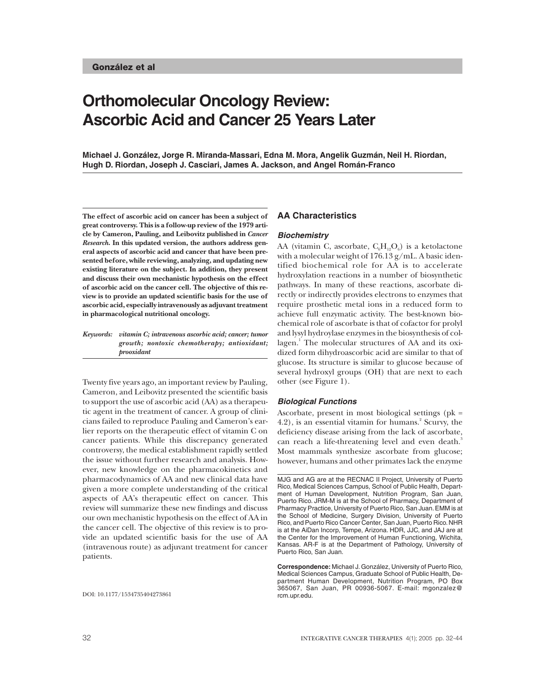# **Orthomolecular Oncology Review: Ascorbic Acid and Cancer 25 Years Later**

**Michael J. González, Jorge R. Miranda-Massari, Edna M. Mora, Angelik Guzmán, Neil H. Riordan, Hugh D. Riordan, Joseph J. Casciari, James A. Jackson, and Angel Román-Franco**

**The effect of ascorbic acid on cancer has been a subject of great controversy. This is a follow-up review of the 1979 article by Cameron, Pauling, and Leibovitz published in** *Cancer Research***. In this updated version, the authors address general aspects of ascorbic acid and cancer that have been presented before, while reviewing, analyzing, and updating new existing literature on the subject. In addition, they present and discuss their own mechanistic hypothesis on the effect of ascorbic acid on the cancer cell. The objective of this review is to provide an updated scientific basis for the use of ascorbic acid, especially intravenously as adjuvant treatment in pharmacological nutritional oncology.**

*Keywords: vitamin C; intravenous ascorbic acid; cancer; tumor growth; nontoxic chemotherapy; antioxidant; prooxidant*

Twenty five years ago, an important review by Pauling, Cameron, and Leibovitz presented the scientific basis to support the use of ascorbic acid (AA) as a therapeutic agent in the treatment of cancer. A group of clinicians failed to reproduce Pauling and Cameron's earlier reports on the therapeutic effect of vitamin C on cancer patients. While this discrepancy generated controversy, the medical establishment rapidly settled the issue without further research and analysis. However, new knowledge on the pharmacokinetics and pharmacodynamics of AA and new clinical data have given a more complete understanding of the critical aspects of AA's therapeutic effect on cancer. This review will summarize these new findings and discuss our own mechanistic hypothesis on the effect of AA in the cancer cell. The objective of this review is to provide an updated scientific basis for the use of AA (intravenous route) as adjuvant treatment for cancer patients.

DOI: 10.1177/1534735404273861 rcm.upr.edu.

#### **AA Characteristics**

#### **Biochemistry**

AA (vitamin C, ascorbate,  $C_6H_{12}O_6$ ) is a ketolactone with a molecular weight of  $176.13$  g/mL. A basic identified biochemical role for AA is to accelerate hydroxylation reactions in a number of biosynthetic pathways. In many of these reactions, ascorbate directly or indirectly provides electrons to enzymes that require prosthetic metal ions in a reduced form to achieve full enzymatic activity. The best-known biochemical role of ascorbate is that of cofactor for prolyl and lysyl hydroylase enzymes in the biosynthesis of collagen.<sup>1</sup> The molecular structures of AA and its oxidized form dihydroascorbic acid are similar to that of glucose. Its structure is similar to glucose because of several hydroxyl groups (OH) that are next to each other (see Figure 1).

#### **Biological Functions**

Ascorbate, present in most biological settings (pk = 4.2), is an essential vitamin for humans.<sup>2</sup> Scurvy, the deficiency disease arising from the lack of ascorbate, can reach a life-threatening level and even death.<sup>3</sup> Most mammals synthesize ascorbate from glucose; however, humans and other primates lack the enzyme

**Correspondence:** Michael J. González, University of Puerto Rico, Medical Sciences Campus, Graduate School of Public Health, Department Human Development, Nutrition Program, PO Box 365067, San Juan, PR 00936-5067. E-mail: mgonzalez@

MJG and AG are at the RECNAC II Project, University of Puerto Rico, Medical Sciences Campus, School of Public Health, Department of Human Development, Nutrition Program, San Juan, Puerto Rico. JRM-M is at the School of Pharmacy, Department of Pharmacy Practice, University of Puerto Rico, San Juan.EMM is at the School of Medicine, Surgery Division, University of Puerto Rico, and Puerto Rico Cancer Center, San Juan, Puerto Rico.NHR is at the AiDan Incorp, Tempe, Arizona. HDR, JJC, and JAJ are at the Center for the Improvement of Human Functioning, Wichita, Kansas. AR-F is at the Department of Pathology, University of Puerto Rico, San Juan.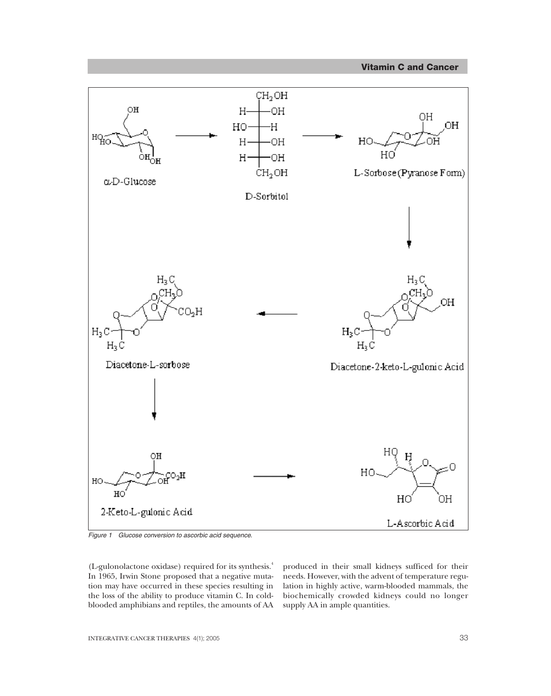

Figure 1 Glucose conversion to ascorbic acid sequence.

(L-gulonolactone oxidase) required for its synthesis.4 In 1965, Irwin Stone proposed that a negative mutation may have occurred in these species resulting in the loss of the ability to produce vitamin C. In coldblooded amphibians and reptiles, the amounts of AA produced in their small kidneys sufficed for their needs. However, with the advent of temperature regulation in highly active, warm-blooded mammals, the biochemically crowded kidneys could no longer supply AA in ample quantities.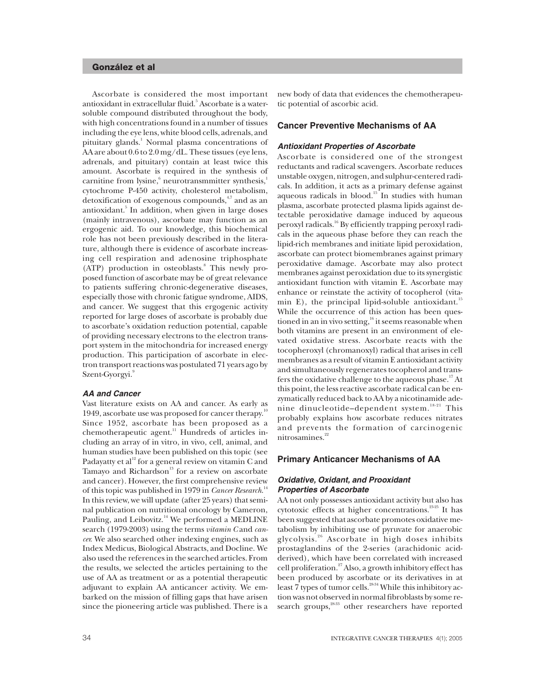Ascorbate is considered the most important antioxidant in extracellular fluid.<sup>5</sup> Ascorbate is a watersoluble compound distributed throughout the body, with high concentrations found in a number of tissues including the eye lens, white blood cells, adrenals, and pituitary glands.<sup>1</sup> Normal plasma concentrations of AA are about 0.6 to 2.0 mg/dL. These tissues (eye lens, adrenals, and pituitary) contain at least twice this amount. Ascorbate is required in the synthesis of carnitine from lysine,<sup>6</sup> neurotransmmitter synthesis,<sup>1</sup> cytochrome P-450 activity, cholesterol metabolism, detoxification of exogenous compounds, $47$  and as an antioxidant.<sup>5</sup> In addition, when given in large doses (mainly intravenous), ascorbate may function as an ergogenic aid. To our knowledge, this biochemical role has not been previously described in the literature, although there is evidence of ascorbate increasing cell respiration and adenosine triphosphate (ATP) production in osteoblasts.<sup>8</sup> This newly proposed function of ascorbate may be of great relevance to patients suffering chronic-degenerative diseases, especially those with chronic fatigue syndrome, AIDS, and cancer. We suggest that this ergogenic activity reported for large doses of ascorbate is probably due to ascorbate's oxidation reduction potential, capable of providing necessary electrons to the electron transport system in the mitochondria for increased energy production. This participation of ascorbate in electron transport reactions was postulated 71 years ago by Szent-Gyorgyi.<sup>9</sup>

## **AA and Cancer**

Vast literature exists on AA and cancer. As early as 1949, ascorbate use was proposed for cancer therapy. $^{10}$ Since 1952, ascorbate has been proposed as a chemotherapeutic agent.<sup>11</sup> Hundreds of articles including an array of in vitro, in vivo, cell, animal, and human studies have been published on this topic (see Padayatty et al<sup>12</sup> for a general review on vitamin C and Tamayo and Richardson<sup>13</sup> for a review on ascorbate and cancer). However, the first comprehensive review of this topic was published in 1979 in *Cancer Research*. 14 In this review, we will update (after 25 years) that seminal publication on nutritional oncology by Cameron, Pauling, and Leibovitz.<sup>14</sup> We performed a MEDLINE search (1979-2003) using the terms *vitamin C* and *cancer*. We also searched other indexing engines, such as Index Medicus, Biological Abstracts, and Docline. We also used the references in the searched articles. From the results, we selected the articles pertaining to the use of AA as treatment or as a potential therapeutic adjuvant to explain AA anticancer activity. We embarked on the mission of filling gaps that have arisen since the pioneering article was published. There is a new body of data that evidences the chemotherapeutic potential of ascorbic acid.

# **Cancer Preventive Mechanisms of AA**

## **Antioxidant Properties of Ascorbate**

Ascorbate is considered one of the strongest reductants and radical scavengers. Ascorbate reduces unstable oxygen, nitrogen, and sulphur-centered radicals. In addition, it acts as a primary defense against aqueous radicals in blood.<sup>15</sup> In studies with human plasma, ascorbate protected plasma lipids against detectable peroxidative damage induced by aqueous peroxyl radicals.<sup>16</sup> By efficiently trapping peroxyl radicals in the aqueous phase before they can reach the lipid-rich membranes and initiate lipid peroxidation, ascorbate can protect biomembranes against primary peroxidative damage. Ascorbate may also protect membranes against peroxidation due to its synergistic antioxidant function with vitamin E. Ascorbate may enhance or reinstate the activity of tocopherol (vitamin E), the principal lipid-soluble antioxidant.<sup>15</sup> While the occurrence of this action has been questioned in an in vivo setting,<sup>16</sup> it seems reasonable when both vitamins are present in an environment of elevated oxidative stress. Ascorbate reacts with the tocopheroxyl (chromanoxyl) radical that arises in cell membranes as a result of vitamin E antioxidant activity and simultaneously regenerates tocopherol and transfers the oxidative challenge to the aqueous phase.<sup>17</sup> At this point, the less reactive ascorbate radical can be enzymatically reduced back to AA by a nicotinamide adenine dinucleotide–dependent system.<sup>18-21</sup> This probably explains how ascorbate reduces nitrates and prevents the formation of carcinogenic nitrosamines.<sup>22</sup>

# **Primary Anticancer Mechanisms of AA**

## **Oxidative, Oxidant, and Prooxidant Properties of Ascorbate**

AA not only possesses antioxidant activity but also has cytotoxic effects at higher concentrations.<sup>23-25</sup> It has been suggested that ascorbate promotes oxidative metabolism by inhibiting use of pyruvate for anaerobic glycolysis.<sup>26</sup> Ascorbate in high doses inhibits prostaglandins of the 2-series (arachidonic acidderived), which have been correlated with increased cell proliferation.<sup>27</sup> Also, a growth inhibitory effect has been produced by ascorbate or its derivatives in at least 7 types of tumor cells.<sup>28.34</sup> While this inhibitory action was not observed in normal fibroblasts by some research groups,<sup>28,33</sup> other researchers have reported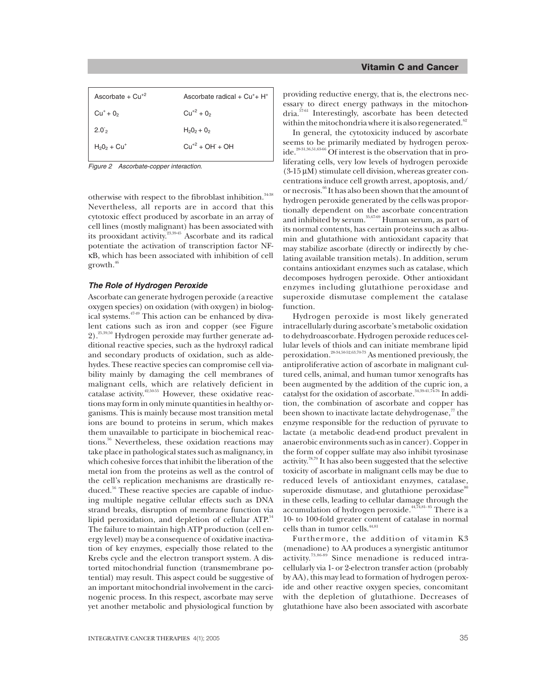| Ascorbate + $\text{Cu}^{+2}$ | Ascorbate radical + $Cu+ + H+$ |
|------------------------------|--------------------------------|
| $Cu^{+} + O_{2}$             | $Cu^{2} + O_{2}$               |
| $2.0^{\circ}$                | $H_2O_2 + O_2$                 |
| $H_2O_2 + Cu^+$              | $Cu+2 + OH- + OH-$             |
|                              |                                |

Figure 2 Ascorbate-copper interaction.

otherwise with respect to the fibroblast inhibition.<sup>34-38</sup> Nevertheless, all reports are in accord that this cytotoxic effect produced by ascorbate in an array of cell lines (mostly malignant) has been associated with its prooxidant activity.<sup>23,39-45</sup> Ascorbate and its radical potentiate the activation of transcription factor NFκB, which has been associated with inhibition of cell  $growth.<sup>46</sup>$ 

#### **The Role of Hydrogen Peroxide**

Ascorbate can generate hydrogen peroxide (a reactive oxygen species) on oxidation (with oxygen) in biological systems. $47-49$  This action can be enhanced by divalent cations such as iron and copper (see Figure  $2$ ).<sup>25,39,50</sup> Hydrogen peroxide may further generate additional reactive species, such as the hydroxyl radical and secondary products of oxidation, such as aldehydes. These reactive species can compromise cell viability mainly by damaging the cell membranes of malignant cells, which are relatively deficient in catalase activity. $42,50-55$  However, these oxidative reactions may form in only minute quantities in healthy organisms. This is mainly because most transition metal ions are bound to proteins in serum, which makes them unavailable to participate in biochemical reactions.56 Nevertheless, these oxidation reactions may take place in pathological states such as malignancy, in which cohesive forces that inhibit the liberation of the metal ion from the proteins as well as the control of the cell's replication mechanisms are drastically reduced.<sup>56</sup> These reactive species are capable of inducing multiple negative cellular effects such as DNA strand breaks, disruption of membrane function via lipid peroxidation, and depletion of cellular  $ATP<sup>54</sup>$ The failure to maintain high ATP production (cell energy level) may be a consequence of oxidative inactivation of key enzymes, especially those related to the Krebs cycle and the electron transport system. A distorted mitochondrial function (transmembrane potential) may result. This aspect could be suggestive of an important mitochondrial involvement in the carcinogenic process. In this respect, ascorbate may serve yet another metabolic and physiological function by

providing reductive energy, that is, the electrons necessary to direct energy pathways in the mitochondria.57-61 Interestingly, ascorbate has been detected within the mitochondria where it is also regenerated.<sup>62</sup>

In general, the cytotoxicity induced by ascorbate seems to be primarily mediated by hydrogen peroxide.28-31,36,51,63-66 Of interest is the observation that in proliferating cells, very low levels of hydrogen peroxide  $(3-15 \mu M)$  stimulate cell division, whereas greater concentrations induce cell growth arrest, apoptosis, and/ or necrosis.<sup>66</sup> It has also been shown that the amount of hydrogen peroxide generated by the cells was proportionally dependent on the ascorbate concentration and inhibited by serum.<sup>35,67-69</sup> Human serum, as part of its normal contents, has certain proteins such as albumin and glutathione with antioxidant capacity that may stabilize ascorbate (directly or indirectly by chelating available transition metals). In addition, serum contains antioxidant enzymes such as catalase, which decomposes hydrogen peroxide. Other antioxidant enzymes including glutathione peroxidase and superoxide dismutase complement the catalase function.

Hydrogen peroxide is most likely generated intracellularly during ascorbate's metabolic oxidation to dehydroascorbate. Hydrogen peroxide reduces cellular levels of thiols and can initiate membrane lipid peroxidation.28-34,50-52,63,70-73 As mentioned previously, the antiproliferative action of ascorbate in malignant cultured cells, animal, and human tumor xenografts has been augmented by the addition of the cupric ion, a catalyst for the oxidation of ascorbate. $34,39-41,74-76$  In addition, the combination of ascorbate and copper has been shown to inactivate lactate dehydrogenase, $\frac{7}{7}$  the enzyme responsible for the reduction of pyruvate to lactate (a metabolic dead-end product prevalent in anaerobic environments such as in cancer). Copper in the form of copper sulfate may also inhibit tyrosinase activity.78,79 It has also been suggested that the selective toxicity of ascorbate in malignant cells may be due to reduced levels of antioxidant enzymes, catalase, superoxide dismutase, and glutathione peroxidase<sup>80</sup> in these cells, leading to cellular damage through the accumulation of hydrogen peroxide.<sup>44,74,81-85</sup> There is a 10- to 100-fold greater content of catalase in normal cells than in tumor cells.<sup>44,81</sup>

Furthermore, the addition of vitamin K3 (menadione) to AA produces a synergistic antitumor activity.73,86-89 Since menadione is reduced intracellularly via 1- or 2-electron transfer action (probably by AA), this may lead to formation of hydrogen peroxide and other reactive oxygen species, concomitant with the depletion of glutathione. Decreases of glutathione have also been associated with ascorbate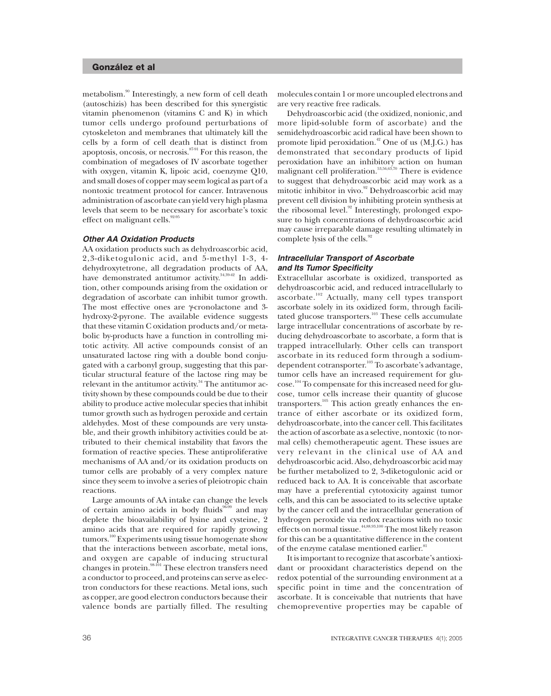metabolism.<sup>90</sup> Interestingly, a new form of cell death (autoschizis) has been described for this synergistic vitamin phenomenon (vitamins C and K) in which tumor cells undergo profound perturbations of cytoskeleton and membranes that ultimately kill the cells by a form of cell death that is distinct from apoptosis, oncosis, or necrosis.87-91 For this reason, the combination of megadoses of IV ascorbate together with oxygen, vitamin K, lipoic acid, coenzyme Q10, and small doses of copper may seem logical as part of a nontoxic treatment protocol for cancer. Intravenous administration of ascorbate can yield very high plasma levels that seem to be necessary for ascorbate's toxic effect on malignant cells.<sup>92-95</sup>

#### **Other AA Oxidation Products**

AA oxidation products such as dehydroascorbic acid, 2,3-diketogulonic acid, and 5-methyl 1-3, 4 dehydroxytetrone, all degradation products of AA, have demonstrated antitumor activity.<sup>34,39-42</sup> In addition, other compounds arising from the oxidation or degradation of ascorbate can inhibit tumor growth. The most effective ones are γ-cronolactone and 3 hydroxy-2-pyrone. The available evidence suggests that these vitamin C oxidation products and/or metabolic by-products have a function in controlling mitotic activity. All active compounds consist of an unsaturated lactose ring with a double bond conjugated with a carbonyl group, suggesting that this particular structural feature of the lactose ring may be relevant in the antitumor activity. $34$  The antitumor activity shown by these compounds could be due to their ability to produce active molecular species that inhibit tumor growth such as hydrogen peroxide and certain aldehydes. Most of these compounds are very unstable, and their growth inhibitory activities could be attributed to their chemical instability that favors the formation of reactive species. These antiproliferative mechanisms of AA and/or its oxidation products on tumor cells are probably of a very complex nature since they seem to involve a series of pleiotropic chain reactions.

Large amounts of AA intake can change the levels of certain amino acids in body fluids<sup>96-99</sup> and may deplete the bioavailability of lysine and cysteine, 2 amino acids that are required for rapidly growing tumors.<sup>100</sup> Experiments using tissue homogenate show that the interactions between ascorbate, metal ions, and oxygen are capable of inducing structural changes in protein.<sup>98-101</sup> These electron transfers need a conductor to proceed, and proteins can serve as electron conductors for these reactions. Metal ions, such as copper, are good electron conductors because their valence bonds are partially filled. The resulting

molecules contain 1 or more uncoupled electrons and are very reactive free radicals.

Dehydroascorbic acid (the oxidized, nonionic, and more lipid-soluble form of ascorbate) and the semidehydroascorbic acid radical have been shown to promote lipid peroxidation. $42$  One of us (M.J.G.) has demonstrated that secondary products of lipid peroxidation have an inhibitory action on human malignant cell proliferation.53,56,63,70 There is evidence to suggest that dehydroascorbic acid may work as a mitotic inhibitor in vivo.<sup>92</sup> Dehydroascorbic acid may prevent cell division by inhibiting protein synthesis at the ribosomal level. $92$  Interestingly, prolonged exposure to high concentrations of dehydroascorbic acid may cause irreparable damage resulting ultimately in complete lysis of the cells.<sup>92</sup>

#### **Intracellular Transport of Ascorbate and Its Tumor Specificity**

Extracellular ascorbate is oxidized, transported as dehydroascorbic acid, and reduced intracellularly to ascorbate.<sup>102</sup> Actually, many cell types transport ascorbate solely in its oxidized form, through facilitated glucose transporters. $103$  These cells accumulate large intracellular concentrations of ascorbate by reducing dehydroascorbate to ascorbate, a form that is trapped intracellularly. Other cells can transport ascorbate in its reduced form through a sodiumdependent cotransporter.<sup>103</sup> To ascorbate's advantage, tumor cells have an increased requirement for glucose.<sup>104</sup> To compensate for this increased need for glucose, tumor cells increase their quantity of glucose transporters.<sup>105</sup> This action greatly enhances the entrance of either ascorbate or its oxidized form, dehydroascorbate, into the cancer cell. This facilitates the action of ascorbate as a selective, nontoxic (to normal cells) chemotherapeutic agent. These issues are very relevant in the clinical use of AA and dehydroascorbic acid. Also, dehydroascorbic acid may be further metabolized to 2, 3-diketogulonic acid or reduced back to AA. It is conceivable that ascorbate may have a preferential cytotoxicity against tumor cells, and this can be associated to its selective uptake by the cancer cell and the intracellular generation of hydrogen peroxide via redox reactions with no toxic effects on normal tissue.<sup>44,88,93,100</sup> The most likely reason for this can be a quantitative difference in the content of the enzyme catalase mentioned earlier.<sup>81</sup>

It is important to recognize that ascorbate's antioxidant or prooxidant characteristics depend on the redox potential of the surrounding environment at a specific point in time and the concentration of ascorbate. It is conceivable that nutrients that have chemopreventive properties may be capable of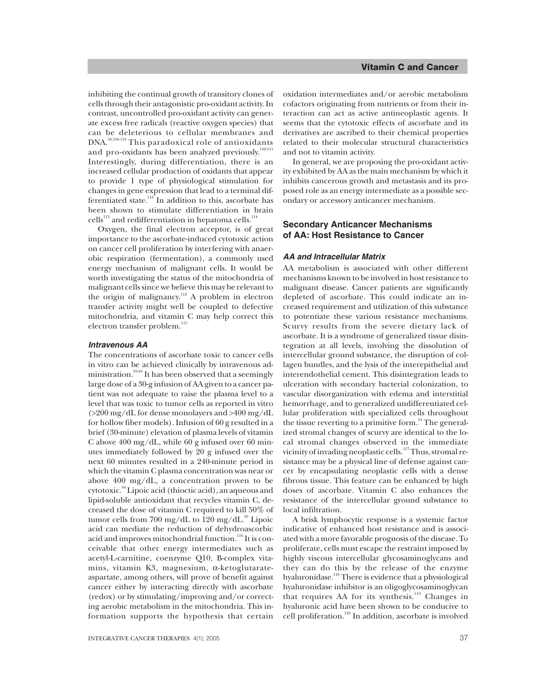inhibiting the continual growth of transitory clones of cells through their antagonistic pro-oxidant activity. In contrast, uncontrolled pro-oxidant activity can generate excess free radicals (reactive oxygen species) that can be deleterious to cellular membranes and DNA.58,106-110 This paradoxical role of antioxidants and pro-oxidants has been analyzed previously.<sup>109-111</sup> Interestingly, during differentiation, there is an increased cellular production of oxidants that appear to provide 1 type of physiological stimulation for changes in gene expression that lead to a terminal differentiated state.<sup>112</sup> In addition to this, ascorbate has been shown to stimulate differentiation in brain  $cells<sup>113</sup>$  and redifferentiation in hepatoma cells.<sup>114</sup>

Oxygen, the final electron acceptor, is of great importance to the ascorbate-induced cytotoxic action on cancer cell proliferation by interfering with anaerobic respiration (fermentation), a commonly used energy mechanism of malignant cells. It would be worth investigating the status of the mitochondria of malignant cells since we believe this may be relevant to the origin of malignancy.<sup>112</sup> A problem in electron transfer activity might well be coupled to defective mitochondria, and vitamin C may help correct this electron transfer problem.<sup>115</sup>

#### **Intravenous AA**

The concentrations of ascorbate toxic to cancer cells in vitro can be achieved clinically by intravenous administration.<sup>93-94</sup> It has been observed that a seemingly large dose of a 30-g infusion of AA given to a cancer patient was not adequate to raise the plasma level to a level that was toxic to tumor cells as reported in vitro  $(>200 \text{ mg}/dL$  for dense monolayers and  $>400 \text{ mg}/dL$ for hollow fiber models). Infusion of 60 g resulted in a brief (30-minute) elevation of plasma levels of vitamin C above 400 mg/dL, while 60 g infused over 60 minutes immediately followed by 20 g infused over the next 60 minutes resulted in a 240-minute period in which the vitamin C plasma concentration was near or above 400 mg/dL, a concentration proven to be cytotoxic.<sup>94</sup> Lipoic acid (thioctic acid), an aqueous and lipid-soluble antioxidant that recycles vitamin C, decreased the dose of vitamin C required to kill 50% of tumor cells from 700 mg/dL to 120 mg/dL.<sup>95</sup> Lipoic acid can mediate the reduction of dehydroascorbic acid and improves mitochondrial function.<sup>116</sup> It is conceivable that other energy intermediates such as acetyl-L-carnitine, coenzyme Q10, B-complex vitamins, vitamin K3, magnesium, α-ketoglutarateaspartate, among others, will prove of benefit against cancer either by interacting directly with ascorbate (redox) or by stimulating/improving and/or correcting aerobic metabolism in the mitochondria. This information supports the hypothesis that certain

oxidation intermediates and/or aerobic metabolism cofactors originating from nutrients or from their interaction can act as active antineoplastic agents. It seems that the cytotoxic effects of ascorbate and its derivatives are ascribed to their chemical properties related to their molecular structural characteristics and not to vitamin activity.

In general, we are proposing the pro-oxidant activity exhibited by AA as the main mechanism by which it inhibits cancerous growth and metastasis and its proposed role as an energy intermediate as a possible secondary or accessory anticancer mechanism.

## **Secondary Anticancer Mechanisms of AA: Host Resistance to Cancer**

#### **AA and Intracellular Matrix**

AA metabolism is associated with other different mechanisms known to be involved in host resistance to malignant disease. Cancer patients are significantly depleted of ascorbate. This could indicate an increased requirement and utilization of this substance to potentiate these various resistance mechanisms. Scurvy results from the severe dietary lack of ascorbate. It is a syndrome of generalized tissue disintegration at all levels, involving the dissolution of intercellular ground substance, the disruption of collagen bundles, and the lysis of the interepithelial and interendothelial cement. This disintegration leads to ulceration with secondary bacterial colonization, to vascular disorganization with edema and interstitial hemorrhage, and to generalized undifferentiated cellular proliferation with specialized cells throughout the tissue reverting to a primitive form.<sup>14</sup> The generalized stromal changes of scurvy are identical to the local stromal changes observed in the immediate vicinity of invading neoplastic cells.<sup>117</sup>Thus, stromal resistance may be a physical line of defense against cancer by encapsulating neoplastic cells with a dense fibrous tissue. This feature can be enhanced by high doses of ascorbate. Vitamin C also enhances the resistance of the intercellular ground substance to local infiltration.

A brisk lymphocytic response is a systemic factor indicative of enhanced host resistance and is associated with a more favorable prognosis of the disease. To proliferate, cells must escape the restraint imposed by highly viscous intercellular glycosaminoglycans and they can do this by the release of the enzyme hyaluronidase.<sup>118</sup> There is evidence that a physiological hyaluronidase inhibitor is an oligoglycosaminoglycan that requires AA for its synthesis.<sup>119</sup> Changes in hyaluronic acid have been shown to be conducive to cell proliferation.<sup>120</sup> In addition, ascorbate is involved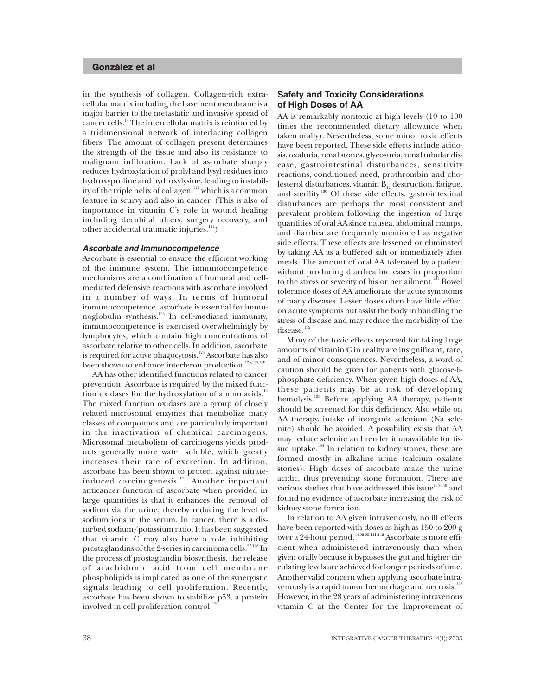in the synthesis of collagen. Collagen-rich extracellular matrix including the basement membrane is a major barrier to the metastatic and invasive spread of cancer cells.<sup>14</sup> The intercellular matrix is reinforced by a tridimensional network of interlacing collagen fibers. The amount of collagen present determines the strength of the tissue and also its resistance to malignant infiltration. Lack of ascorbate sharply reduces hydroxylation of prolyl and lysyl residues into hydroxyproline and hydroxylysine, leading to instability of the triple helix of collagen, $\frac{1}{21}$  which is a common feature in scurvy and also in cancer. (This is also of importance in vitamin C's role in wound healing including decubital ulcers, surgery recovery, and other accidental traumatic injuries. $122$ 

#### **Ascorbate and Immunocompetence**

Ascorbate is essential to ensure the efficient working of the immune system. The immunocompetence mechanisms are a combination of humoral and cellmediated defensive reactions with ascorbate involved in a number of ways. In terms of humoral immunocompetence, ascorbate is essential for immunoglobulin synthesis. $123$  In cell-mediated immunity, immunocompetence is exercised overwhelmingly by lymphocytes, which contain high concentrations of ascorbate relative to other cells. In addition, ascorbate is required for active phagocytosis.<sup>124</sup> Ascorbate has also been shown to enhance interferon production.<sup>123,125,126</sup>

AA has other identified functions related to cancer prevention. Ascorbate is required by the mixed function oxidases for the hydroxylation of amino acids.<sup>14</sup> The mixed function oxidases are a group of closely related microsomal enzymes that metabolize many classes of compounds and are particularly important in the inactivation of chemical carcinogens. Microsomal metabolism of carcinogens yields products generally more water soluble, which greatly increases their rate of excretion. In addition, ascorbate has been shown to protect against nitrateinduced carcinogenesis.<sup>127</sup> Another important anticancer function of ascorbate when provided in large quantities is that it enhances the removal of sodium via the urine, thereby reducing the level of sodium ions in the serum. In cancer, there is a disturbed sodium/potassium ratio. It has been suggested that vitamin C may also have a role inhibiting prostaglandins of the 2-series in carcinoma cells.<sup>27,128</sup> In the process of prostaglandin biosynthesis, the release of arachidonic acid from cell membrane phospholipids is implicated as one of the synergistic signals leading to cell proliferation. Recently, ascorbate has been shown to stabilize p53, a protein involved in cell proliferation control.<sup>129</sup>

# **Safety and Toxicity Considerations of High Doses of AA**

AA is remarkably nontoxic at high levels (10 to 100 times the recommended dietary allowance when taken orally). Nevertheless, some minor toxic effects have been reported. These side effects include acidosis, oxaluria, renal stones, glycosuria, renal tubular disease, gastrointestinal disturbances, sensitivity reactions, conditioned need, prothrombin and cholesterol disturbances, vitamin  $B_{12}$  destruction, fatigue, and sterility.130 Of these side effects, gastrointestinal disturbances are perhaps the most consistent and prevalent problem following the ingestion of large quantities of oral AA since nausea, abdominal cramps, and diarrhea are frequently mentioned as negative side effects. These effects are lessened or eliminated by taking AA as a buffered salt or immediately after meals. The amount of oral AA tolerated by a patient without producing diarrhea increases in proportion to the stress or severity of his or her ailment.<sup>131</sup> Bowel tolerance doses of AA ameliorate the acute symptoms of many diseases. Lesser doses often have little effect on acute symptoms but assist the body in handling the stress of disease and may reduce the morbidity of the disease.<sup>132</sup>

Many of the toxic effects reported for taking large amounts of vitamin C in reality are insignificant, rare, and of minor consequences. Nevertheless, a word of caution should be given for patients with glucose-6 phosphate deficiency. When given high doses of AA, these patients may be at risk of developing hemolysis.<sup>133</sup> Before applying AA therapy, patients should be screened for this deficiency. Also while on AA therapy, intake of inorganic selenium (Na selenite) should be avoided. A possibility exists that AA may reduce selenite and render it unavailable for tissue uptake. $134}$  In relation to kidney stones, these are formed mostly in alkaline urine (calcium oxalate stones). High doses of ascorbate make the urine acidic, thus preventing stone formation. There are various studies that have addressed this issue<sup>135-140</sup> and found no evidence of ascorbate increasing the risk of kidney stone formation.

In relation to AA given intravenously, no ill effects have been reported with doses as high as 150 to 200 g over a 24-hour period.<sup>44,92,95,141,142</sup> Ascorbate is more efficient when administered intravenously than when given orally because it bypasses the gut and higher circulating levels are achieved for longer periods of time. Another valid concern when applying ascorbate intravenously is a rapid tumor hemorrhage and necrosis.<sup>143</sup> However, in the 28 years of administering intravenous vitamin C at the Center for the Improvement of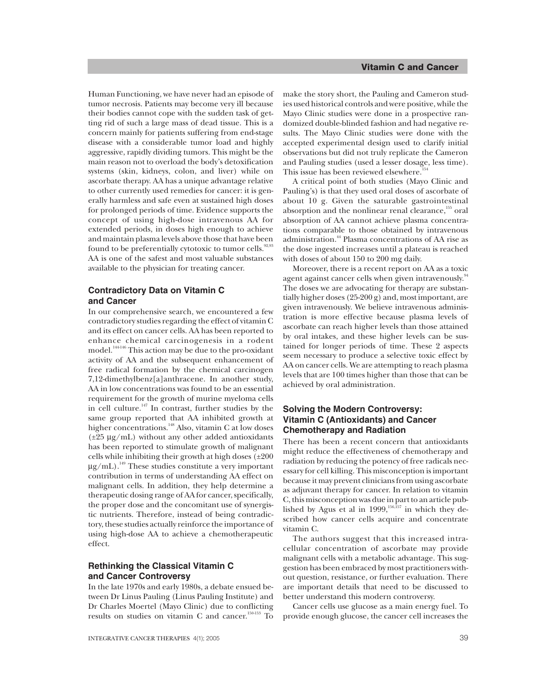Human Functioning, we have never had an episode of tumor necrosis. Patients may become very ill because their bodies cannot cope with the sudden task of getting rid of such a large mass of dead tissue. This is a concern mainly for patients suffering from end-stage disease with a considerable tumor load and highly aggressive, rapidly dividing tumors. This might be the main reason not to overload the body's detoxification systems (skin, kidneys, colon, and liver) while on ascorbate therapy. AA has a unique advantage relative to other currently used remedies for cancer: it is generally harmless and safe even at sustained high doses for prolonged periods of time. Evidence supports the concept of using high-dose intravenous AA for extended periods, in doses high enough to achieve and maintain plasma levels above those that have been found to be preferentially cytotoxic to tumor cells.<sup>92,93</sup> AA is one of the safest and most valuable substances available to the physician for treating cancer.

# **Contradictory Data on Vitamin C and Cancer**

In our comprehensive search, we encountered a few contradictory studies regarding the effect of vitamin C and its effect on cancer cells. AA has been reported to enhance chemical carcinogenesis in a rodent model.<sup>144146</sup> This action may be due to the pro-oxidant activity of AA and the subsequent enhancement of free radical formation by the chemical carcinogen 7,12-dimethylbenz[a]anthracene. In another study, AA in low concentrations was found to be an essential requirement for the growth of murine myeloma cells in cell culture.<sup>147</sup> In contrast, further studies by the same group reported that AA inhibited growth at higher concentrations.<sup>148</sup> Also, vitamin C at low doses  $(\pm 25 \mu g/mL)$  without any other added antioxidants has been reported to stimulate growth of malignant cells while inhibiting their growth at high doses  $(\pm 200$  $\mu$ g/mL).<sup>149</sup> These studies constitute a very important contribution in terms of understanding AA effect on malignant cells. In addition, they help determine a therapeutic dosing range of AA for cancer, specifically, the proper dose and the concomitant use of synergistic nutrients. Therefore, instead of being contradictory, these studies actually reinforce the importance of using high-dose AA to achieve a chemotherapeutic effect.

## **Rethinking the Classical Vitamin C and Cancer Controversy**

In the late 1970s and early 1980s, a debate ensued between Dr Linus Pauling (Linus Pauling Institute) and Dr Charles Moertel (Mayo Clinic) due to conflicting results on studies on vitamin C and cancer.<sup>150-153</sup> To

make the story short, the Pauling and Cameron studies used historical controls and were positive, while the Mayo Clinic studies were done in a prospective randomized double-blinded fashion and had negative results. The Mayo Clinic studies were done with the accepted experimental design used to clarify initial observations but did not truly replicate the Cameron and Pauling studies (used a lesser dosage, less time). This issue has been reviewed elsewhere.<sup>1</sup>

A critical point of both studies (Mayo Clinic and Pauling's) is that they used oral doses of ascorbate of about 10 g. Given the saturable gastrointestinal absorption and the nonlinear renal clearance, $155$  oral absorption of AA cannot achieve plasma concentrations comparable to those obtained by intravenous administration.<sup>44</sup> Plasma concentrations of AA rise as the dose ingested increases until a plateau is reached with doses of about 150 to 200 mg daily.

Moreover, there is a recent report on AA as a toxic agent against cancer cells when given intravenously.<sup>94</sup> The doses we are advocating for therapy are substantially higher doses (25-200 g) and, most important, are given intravenously. We believe intravenous administration is more effective because plasma levels of ascorbate can reach higher levels than those attained by oral intakes, and these higher levels can be sustained for longer periods of time. These 2 aspects seem necessary to produce a selective toxic effect by AA on cancer cells. We are attempting to reach plasma levels that are 100 times higher than those that can be achieved by oral administration.

# **Solving the Modern Controversy: Vitamin C (Antioxidants) and Cancer Chemotherapy and Radiation**

There has been a recent concern that antioxidants might reduce the effectiveness of chemotherapy and radiation by reducing the potency of free radicals necessary for cell killing. This misconception is important because it may prevent clinicians from using ascorbate as adjuvant therapy for cancer. In relation to vitamin C, this misconception was due in part to an article published by Agus et al in 1999,<sup>156,157</sup> in which they described how cancer cells acquire and concentrate vitamin C.

The authors suggest that this increased intracellular concentration of ascorbate may provide malignant cells with a metabolic advantage. This suggestion has been embraced by most practitioners without question, resistance, or further evaluation. There are important details that need to be discussed to better understand this modern controversy.

Cancer cells use glucose as a main energy fuel. To provide enough glucose, the cancer cell increases the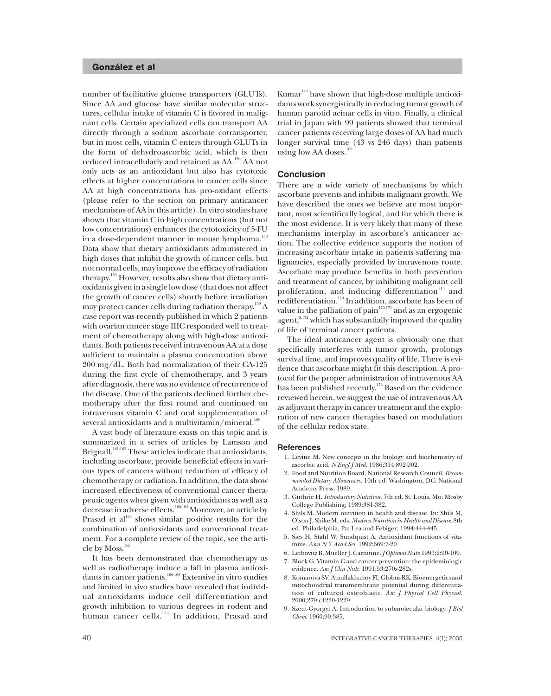number of facilitative glucose transporters (GLUTs). Since AA and glucose have similar molecular structures, cellular intake of vitamin C is favored in malignant cells. Certain specialized cells can transport AA directly through a sodium ascorbate cotransporter, but in most cells, vitamin C enters through GLUTs in the form of dehydroascorbic acid, which is then reduced intracellularly and retained as AA.156 AA not only acts as an antioxidant but also has cytotoxic effects at higher concentrations in cancer cells since AA at high concentrations has pro-oxidant effects (please refer to the section on primary anticancer mechanisms of AA in this article). In vitro studies have shown that vitamin C in high concentrations (but not low concentrations) enhances the cytotoxicity of 5-FU in a dose-dependent manner in mouse lymphoma.<sup>158</sup> Data show that dietary antioxidants administered in high doses that inhibit the growth of cancer cells, but not normal cells, may improve the efficacy of radiation therapy.159 However, results also show that dietary antioxidants given in a single low dose (that does not affect the growth of cancer cells) shortly before irradiation may protect cancer cells during radiation therapy.<sup>159</sup> A case report was recently published in which 2 patients with ovarian cancer stage IIIC responded well to treatment of chemotherapy along with high-dose antioxidants. Both patients received intravenous AA at a dose sufficient to maintain a plasma concentration above 200 mg/dL. Both had normalization of their CA-125 during the first cycle of chemotherapy, and 3 years after diagnosis, there was no evidence of recurrence of the disease. One of the patients declined further chemotherapy after the first round and continued on intravenous vitamin C and oral supplementation of several antioxidants and a multivitamin/mineral.<sup>160</sup>

A vast body of literature exists on this topic and is summarized in a series of articles by Lamson and Brignall.<sup>161-163</sup> These articles indicate that antioxidants, including ascorbate, provide beneficial effects in various types of cancers without reduction of efficacy of chemotherapy or radiation. In addition, the data show increased effectiveness of conventional cancer therapeutic agents when given with antioxidants as well as a decrease in adverse effects.<sup>160-163</sup> Moreover, an article by Prasad et  $al<sup>164</sup>$  shows similar positive results for the combination of antioxidants and conventional treatment. For a complete review of the topic, see the article by Moss.<sup>165</sup>

It has been demonstrated that chemotherapy as well as radiotherapy induce a fall in plasma antioxidants in cancer patients.<sup>166-168</sup> Extensive in vitro studies and limited in vivo studies have revealed that individual antioxidants induce cell differentiation and growth inhibition to various degrees in rodent and human cancer cells.<sup>164</sup> In addition, Prasad and

Kumar<sup>149</sup> have shown that high-dose multiple antioxidants work synergistically in reducing tumor growth of human parotid acinar cells in vitro. Finally, a clinical trial in Japan with 99 patients showed that terminal cancer patients receiving large doses of AA had much longer survival time (43 vs 246 days) than patients using low AA doses.<sup>169</sup>

# **Conclusion**

There are a wide variety of mechanisms by which ascorbate prevents and inhibits malignant growth. We have described the ones we believe are most important, most scientifically logical, and for which there is the most evidence. It is very likely that many of these mechanisms interplay in ascorbate's anticancer action. The collective evidence supports the notion of increasing ascorbate intake in patients suffering malignancies, especially provided by intravenous route. Ascorbate may produce benefits in both prevention and treatment of cancer, by inhibiting malignant cell proliferation, and inducing differentiation $113$  and redifferentiation.<sup>114</sup> In addition, ascorbate has been of value in the palliation of pain $170,171$  and as an ergogenic agent, $\frac{8,172}{ }$  which has substantially improved the quality of life of terminal cancer patients.

The ideal anticancer agent is obviously one that specifically interferes with tumor growth, prolongs survival time, and improves quality of life. There is evidence that ascorbate might fit this description. A protocol for the proper administration of intravenous AA has been published recently.<sup>173</sup> Based on the evidence reviewed herein, we suggest the use of intravenous AA as adjuvant therapy in cancer treatment and the exploration of new cancer therapies based on modulation of the cellular redox state.

#### **References**

- 1. Levine M. New concepts in the biology and biochemistry of ascorbic acid. *N Engl J Med*. 1986;314:892-902.
- 2. Food and Nutrition Board, National Research Council. *Recommended Dietary Allowances*. 10th ed. Washington, DC: National Academy Press; 1989.
- 3. Guthrie H. *Introductory Nutrition*. 7th ed. St. Louis, Mo: Mosby College Publishing; 1989:381-382.
- 4. Shils M. Modern nutrition in health and disease. In: Shils M, Olson J, Shike M, eds. *Modern Nutrition in Health and Disease*. 8th ed. Philadelphia, Pa: Lea and Febiger; 1994:444-445.
- 5. Sies H, Stahl W, Sundquist A. Antioxidant functions of vitamins. *Ann N Y Acad Sci*. 1992;669:7-20.
- 6. Leibovitz B, Mueller J. Carnitine. *J Optimal Nutr*. 1993;2:90-109.
- 7. Block G. Vitamin C and cancer prevention: the epidemiologic evidence. *Am J Clin Nutr*. 1991;53:270s-282s.
- 8. Komarova SV, Ataullakhanov FI, Globus RK. Bioenergetics and mitochondrial transmembrane potential during differentiation of cultured osteoblasts. *Am J Physiol Cell Physiol*. 2000;279:c1220-1229.
- 9. Szent-Gyorgyi A. Introduction to submolecular biology. *J Biol Chem*. 1960;90:385.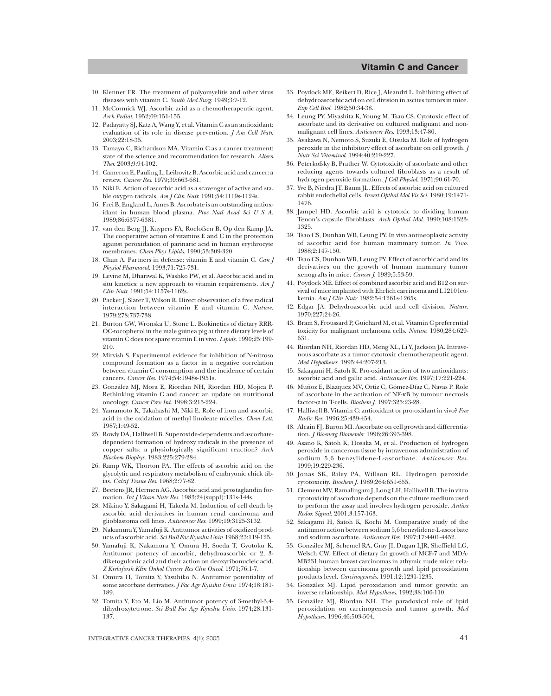- 10. Klenner FR. The treatment of polyomyelitis and other virus diseases with vitamin C. *South Med Surg*. 1949;3:7-12.
- 11. McCormick WJ. Ascorbic acid as a chemotherapeutic agent. *Arch Pediat*. 1952;69:151-155.
- 12. Padayatty SJ, Katz A, Wang Y, et al. Vitamin C as an antioxidant: evaluation of its role in disease prevention. *J Am Coll Nutr*. 2003;22:18-35.
- 13. Tamayo C, Richardson MA. Vitamin C as a cancer treatment: state of the science and recommendation for research. *Altern Ther*. 2003;9:94-102.
- 14. Cameron E, Pauling L, Leibovitz B. Ascorbic acid and cancer: a review. *Cancer Res*. 1979;39:663-681.
- 15. Niki E. Action of ascorbic acid as a scavenger of active and stable oxygen radicals. *Am J Clin Nutr*. 1991;54:1119s-1124s.
- 16. Frei B, England L, Ames B. Ascorbate is an outstanding antioxidant in human blood plasma. *Proc Natl Acad Sci U S A*. 1989;86:6377-6381.
- 17. van den Berg JJ, Kuypers FA, Roelofsen B, Op den Kamp JA. The cooperative action of vitamins E and C in the protection against peroxidation of parinaric acid in human erythrocyte membranes. *Chem Phys Lipids*. 1990;53:309-320.
- 18. Chan A. Partners in defense: vitamin E and vitamin C. *Can J Physiol Pharmacol*. 1993;71:725-731.
- 19. Levine M, Dhariwal K, Washko PW, et al. Ascorbic acid and in situ kinetics: a new approach to vitamin requirements. *Am J Clin Nutr*. 1991;54:1157s-1162s.
- 20. Packer J, Slater T, Wilson R. Direct observation of a free radical interaction between vitamin E and vitamin C. *Nature*. 1979;278:737-738.
- 21. Burton GW, Wronska U, Stone L. Biokinetics of dietary RRR-OC-tocopherol in the male guinea pig at three dietary levels of vitamin C does not spare vitamin E in vivo. *Lipids*. 1990;25:199- 210.
- 22. Mirvish S. Experimental evidence for inhibition of N-nitroso compound formation as a factor in a negative correlation between vitamin C consumption and the incidence of certain cancers. *Cancer Res*. 1974;54:1948s-1951s.
- 23. González MJ, Mora E, Riordan NH, Riordan HD, Mojica P. Rethinking vitamin C and cancer: an update on nutritional oncology. *Cancer Prev Int*. 1998;3:215-224.
- 24. Yamamoto K, Takahashi M, Niki E. Role of iron and ascorbic acid in the oxidation of methyl linoleate micelles. *Chem Lett*. 1987;1:49-52.
- 25. Rowly DA, Halliwell B. Superoxide-dependents and ascorbatedependent formation of hydroxy radicals in the presence of copper salts: a physiologically significant reaction? *Arch Biochem Biophys*. 1983;225:279-284.
- 26. Ramp WK, Thorton PA. The effects of ascorbic acid on the glycolytic and respiratory metabolism of embryonic chick tibias. *Calcif Tissue Res*. 1968;2:77-82.
- 27. Beetens JR, Hermen AG. Ascorbic acid and prostaglandin formation. *Int J Vitam Nutr Res*. 1983;24(suppl):131s-144s.
- 28. Mikino Y, Sakagami H, Takeda M. Induction of cell death by ascorbic acid derivatives in human renal carcinoma and glioblastoma cell lines. *Anticancer Res*. 1999;19:3125-3132.
- 29. Nakamura Y, Yamafuji K. Antitumor activities of oxidized products of ascorbic acid. *Sci Bull Fac Kyushu Univ*. 1968;23:119-125.
- 30. Yamafuji K, Nakamura Y, Omura H, Soeda T, Gyotoku K. Antitumor potency of ascorbic, dehydroascorbic or 2, 3 diketogulonic acid and their action on deoxyribonucleic acid. *Z Krebsforsh Klin Onkol Cancer Res Clin Oncol*. 1971;76:1-7.
- 31. Omura H, Tomita Y, Yasuhiko N. Antitumor potentiality of some ascorbate derivaties. *J Fac Agr Kyushu Univ*. 1974;18:181- 189.
- 32. Tomita Y, Eto M, Lio M. Antitumor potency of 3-methyl-3,4 dihydroxytetrone. *Sci Bull Fac Agr Kyushu Univ*. 1974;28:131- 137.
- 33. Poydock ME, Reikert D, Rice J, Aleandri L. Inhibiting effect of dehydroascorbic acid on cell division in ascites tumors in mice. *Exp Cell Biol*. 1982;50:34-38.
- 34. Leung PY, Miyashita K, Young M, Tsao CS. Cytotoxic effect of ascorbate and its derivative on cultured malignant and nonmalignant cell lines. *Anticancer Res*. 1993;13:47-80.
- 35. Avakawa N, Nemoto S, Suzuki E, Otsuka M. Role of hydrogen peroxide in the inhibitory effect of ascorbate on cell growth. *J Nutr Sci Vitaminol*. 1994;40:219-227.
- 36. Peterkofsky B, Prather W. Cytotoxicity of ascorbate and other reducing agents towards cultured fibroblasts as a result of hydrogen peroxide formation. *J Cell Physiol*. 1971;90:61-70.
- 37. Yve B, Niedra JT, Baum JL. Effects of ascorbic acid on cultured rabbit endothelial cells. *Invest Opthal Mol Vis Sci*. 1980;19:1471- 1476.
- 38. Jampel HD. Ascorbic acid is cytotoxic to dividing human Tenon's capsule fibroblasts. Arch Opthal Mol. 1990;108:1323-1325.
- 39. Tsao CS, Dunhan WB, Leung PY. In vivo antineoplastic activity of ascorbic acid for human mammary tumor. *In Vivo*. 1988;2:147-150.
- 40. Tsao CS, Dunhan WB, Leung PY. Effect of ascorbic acid and its derivatives on the growth of human mammary tumor xenografts in mice. *Cancer J*. 1989;5:53-59.
- 41. Poydock ME. Effect of combined ascorbic acid and B12 on survival of mice implanted with Ehrlich carcinoma and L1210 leukemia. *Am J Clin Nutr*. 1982;54:1261s-1265s.
- 42. Edgar JA. Dehydroascorbic acid and cell division. *Nature*. 1970;227:24-26.
- 43. Bram S, Froussard P, Guichard M, et al. Vitamin C preferential toxicity for malignant melanoma cells. *Nature*. 1980;284:629- 631.
- 44. Riordan NH, Riordan HD, Meng XL, Li Y, Jackson JA. Intravenous ascorbate as a tumor cytotoxic chemotherapeutic agent. *Med Hypotheses*. 1995;44:207-213.
- 45. Sakagami H, Satoh K. Pro-oxidant action of two antioxidants: ascorbic acid and gallic acid. *Anticancer Res*. 1997;17:221-224.
- 46. Muñoz E, Blazquez MV, Ortiz C, Gómez-Díaz C, Navas P. Role of ascorbate in the activation of NF-κB by tumour necrosis factor-α in T-cells. *Biochem J*. 1997;325:23-28.
- 47. Halliwell B. Vitamin C: antioxidant or pro-oxidant in vivo? *Free Radic Res*. 1996;25:439-454.
- 48. Alcain FJ, Buron MI. Ascorbate on cell growth and differentiation. *J Bioenerg Biomembr*. 1996;26:393-398.
- 49. Asano K, Satoh K, Hosaka M, et al. Production of hydrogen peroxide in cancerous tissue by intravenous administration of sodium 5,6 benzylidene-L-ascorbate. *Anticancer Res*. 1999;19:229-236.
- 50. Jonas SK, Riley PA, Willson RL. Hydrogen peroxide cytotoxicity. *Biochem J*. 1989;264:651-655.
- 51. Clement MV, Ramalingam J, Long LH, Halliwell B. The in vitro cytotoxicity of ascorbate depends on the culture medium used to perform the assay and involves hydrogen peroxide. *Antiox Redox Signal*. 2001;3:157-163.
- 52. Sakagami H, Satoh K, Kochi M. Comparative study of the antitumor action between sodium 5,6 benzylidene-L-ascorbate and sodium ascorbate. *Anticancer Res*. 1997;17:4401-4452.
- 53. González MJ, Schemel RA, Gray JI, Dugan LJR, Sheffield LG, Welsch CW. Effect of dietary fat growth of MCF-7 and MDA-MB231 human breast carcinomas in athymic nude mice: relationship between carcinoma growth and lipid peroxidation products level. *Carcinogenesis*. 1991;12:1231-1235.
- 54. González MJ. Lipid peroxidation and tumor growth: an inverse relationship. *Med Hypotheses*. 1992;38:106-110.
- 55. González MJ, Riordan NH. The paradoxical role of lipid peroxidation on carcinogenesis and tumor growth. *Med Hypotheses*. 1996;46:503-504.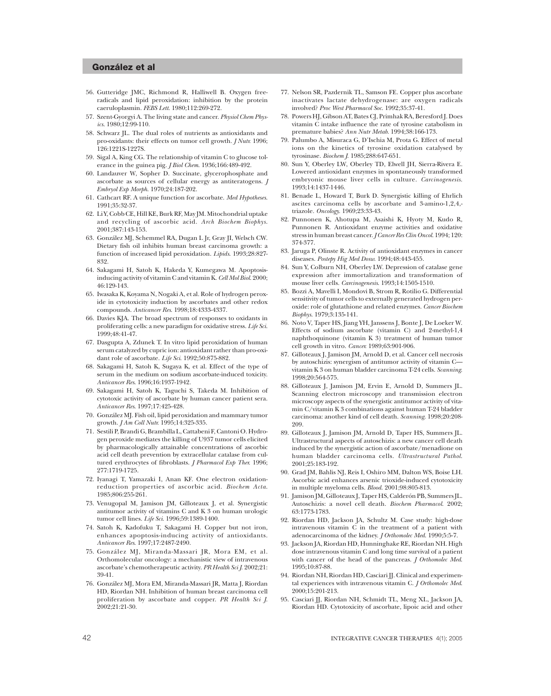- 56. Gutteridge JMC, Richmond R, Halliwell B. Oxygen freeradicals and lipid peroxidation: inhibition by the protein caeruloplasmin. *FEBS Lett*. 1980;112:269-272.
- 57. Szent-Gyorgyi A. The living state and cancer. *Physiol Chem Physics*. 1980;12:99-110.
- 58. Schwarz JL. The dual roles of nutrients as antioxidants and pro-oxidants: their effects on tumor cell growth. *J Nutr*. 1996; 126:1221S-1227S.
- 59. Sigal A, King CG. The relationship of vitamin C to glucose tolerance in the guinea pig. *J Biol Chem*. 1936;166:489-492.
- 60. Landauver W, Sopher D. Succinate, glycerophosphate and ascorbate as sources of cellular energy as antiteratogens. *J Embryol Exp Morph*. 1970;24:187-202.
- 61. Cathcart RF. A unique function for ascorbate. *Med Hypotheses*. 1991;35:32-37.
- 62. Li Y, Cobb CE, Hill KE, Burk RF, May JM. Mitochondrial uptake and recycling of ascorbic acid. *Arch Biochem Biophys*. 2001;387:143-153.
- 63. González MJ, Schemmel RA, Dugan L Jr, Gray JI, Welsch CW. Dietary fish oil inhibits human breast carcinoma growth: a function of increased lipid peroxidation. *Lipids*. 1993;28:827- 832.
- 64. Sakagami H, Satoh K, Hakeda Y, Kumegawa M. Apoptosisinducing activity of vitamin C and vitamin K. *Cell Mol Biol*. 2000; 46:129-143.
- 65. Iwasaka K, Koyama N, Nogaki A, et al. Role of hydrogen peroxide in cytotoxicity induction by ascorbates and other redox compounds. *Anticancer Res*. 1998;18:4333-4337.
- 66. Davies KJA. The broad spectrum of responses to oxidants in proliferating cells: a new paradigm for oxidative stress. *Life Sci*. 1999;48:41-47.
- 67. Dasgupta A, Zdunek T. In vitro lipid peroxidation of human serum catalyzed by cupric ion: antioxidant rather than pro-oxidant role of ascorbate. *Life Sci*. 1992;50:875-882.
- 68. Sakagami H, Satoh K, Sugaya K, et al. Effect of the type of serum in the medium on sodium ascorbate-induced toxicity. *Anticancer Res*. 1996;16:1937-1942.
- 69. Sakagami H, Satoh K, Taguchi S, Takeda M. Inhibition of cytotoxic activity of ascorbate by human cancer patient sera. *Anticancer Res*. 1997;17:425-428.
- 70. González MJ. Fish oil, lipid peroxidation and mammary tumor growth. *J Am Coll Nutr*. 1995;14:325-335.
- 71. Sestili P, Brandi G, Brambilla L, Cattabeni F, Cantoni O. Hydrogen peroxide mediates the killing of U937 tumor cells elicited by pharmacologically attainable concentrations of ascorbic acid cell death prevention by extracellular catalase from cultured erythrocytes of fibroblasts. *J Pharmacol Exp Ther*. 1996; 277:1719-1725.
- 72. Iyanagi T, Yamazaki I, Anan KF. One electron oxidationreduction properties of ascorbic acid. *Biochem Acta*. 1985;806:255-261.
- 73. Venugopal M, Jamison JM, Gilloteaux J, et al. Synergistic antitumor activity of vitamins C and K 3 on human urologic tumor cell lines. *Life Sci*. 1996;59:1389-1400.
- 74. Satoh K, Kadofuku T, Sakagami H. Copper but not iron, enhances apoptosis-inducing activity of antioxidants. *Anticancer Res*. 1997;17:2487-2490.
- 75. González MJ, Miranda-Massari JR, Mora EM, et al. Orthomolecular oncology: a mechanistic view of intravenous ascorbate's chemotherapeutic activity. *PR Health Sci J*. 2002;21: 39-41.
- 76. González MJ, Mora EM, Miranda-Massari JR, Matta J, Riordan HD, Riordan NH. Inhibition of human breast carcinoma cell proliferation by ascorbate and copper. *PR Health Sci J*. 2002;21:21-30.
- 77. Nelson SR, Pazdernik TL, Samson FE. Copper plus ascorbate inactivates lactate dehydrogenase: are oxygen radicals involved? *Proc West Pharmacol Soc*. 1992;35:37-41.
- 78. Powers HJ, Gibson AT, Bates CJ, Primhak RA, Beresford J. Does vitamin C intake influence the rate of tyrosine catabolism in premature babies? *Ann Nutr Metab*. 1994;38:166-173.
- 79. Palumbo A, Misuraca G, D'Ischia M, Prota G. Effect of metal ions on the kinetics of tyrosine oxidation catalysed by tyrosinase. *Biochem J*. 1985;288:647-651.
- 80. Sun Y, Oberley LW, Oberley TD, Elwell JH, Sierra-Rivera E. Lowered antioxidant enzymes in spontaneously transformed embryonic mouse liver cells in culture. *Carcinogenesis*. 1993;14:1437-1446.
- 81. Benade L, Howard T, Burk D. Synergistic killing of Ehrlich ascites carcinoma cells by ascorbate and 3-amino-1,2,4, triazole. *Oncology*. 1969;23:33-43.
- 82. Punnonen K, Ahotupa M, Asaishi K, Hyoty M, Kudo R, Punnonen R. Antioxidant enzyme activities and oxidative stress in human breast cancer. *J Cancer Res Clin Oncol*. 1994; 120: 374-377.
- 83. Jaruga P, Olinste R. Activity of antioxidant enzymes in cancer diseases. *Postepy Hig Med Dosw*. 1994;48:443-455.
- 84. Sun Y, Colburn NH, Oberley LW. Depression of catalase gene expression after immortalization and transformation of mouse liver cells. *Carcinogenesis*. 1993;14:1505-1510.
- 85. Bozzi A, Mavelli I, Mondovi B, Strom R, Rotilio G. Differential sensitivity of tumor cells to externally generated hydrogen peroxide: role of glutathione and related enzymes. *Cancer Biochem Biophys*. 1979;3:135-141.
- 86. Noto V, Taper HS, Jiang YH, Janssens J, Bonte J, De Loeker W. Effects of sodium ascorbate (vitamin C) and 2-methyl-1,4 naphthoquinone (vitamin K 3) treatment of human tumor cell growth in vitro. *Cancer*. 1989;63:901-906.
- 87. Gilloteaux J, Jamison JM, Arnold D, et al. Cancer cell necrosis by autoschizis: synergism of antitumor activity of vitamin C vitamin K 3 on human bladder carcinoma T-24 cells. *Scanning*. 1998;20:564-575.
- 88. Gilloteaux J, Jamison JM, Ervin E, Arnold D, Summers JL. Scanning electron microscopy and transmission electron microscopy aspects of the synergistic antitumor activity of vitamin C/vitamin K 3 combinations against human T-24 bladder carcinoma: another kind of cell death. *Scanning*. 1998;20:208- 209.
- 89. Gilloteaux J, Jamison JM, Arnold D, Taper HS, Summers JL. Ultrastructural aspects of autoschizis: a new cancer cell death induced by the synergistic action of ascorbate/menadione on human bladder carcinoma cells. *Ultrastructural Pathol*. 2001;25:183-192.
- 90. Grad JM, Bahlis NJ, Reis I, Oshiro MM, Dalton WS, Boise LH. Ascorbic acid enhances arsenic trioxide-induced cytotoxicity in multiple myeloma cells. *Blood*. 2001;98:805-813.
- 91. Jamison JM, Gilloteaux J, Taper HS, Calderón PB, Summers JL. Autoschizis: a novel cell death. *Biochem Pharmacol*. 2002; 63:1773-1783.
- 92. Riordan HD, Jackson JA, Schultz M. Case study: high-dose intravenous vitamin C in the treatment of a patient with adenocarcinoma of the kidney. *J Orthomolec Med*. 1990;5:5-7.
- 93. Jackson JA, Riordan HD, Hunninghake RE, Riordan NH. High dose intravenous vitamin C and long time survival of a patient with cancer of the head of the pancreas. *J Orthomolec Med*. 1995;10:87-88.
- 94. Riordan NH, Riordan HD, Casciari JJ. Clinical and experimental experiences with intravenous vitamin C. *J Orthomolec Med*. 2000;15:201-213.
- 95. Casciari JJ, Riordan NH, Schmidt TL, Meng XL, Jackson JA, Riordan HD. Cytotoxicity of ascorbate, lipoic acid and other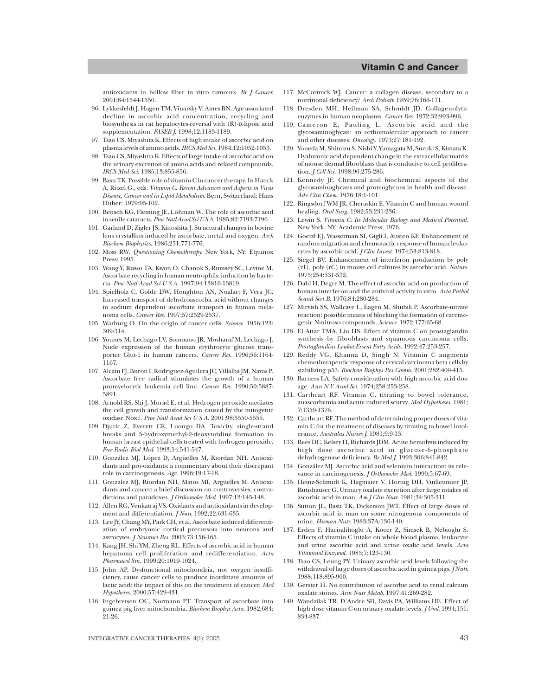antioxidants in hollow fiber in vitro tumours. *Br J Cancer*. 2001;84:1544-1550.

- 96. Lykkesfeldt J, Hagen TM, Vinarsky V, Ames BN. Age associated decline in ascorbic acid concentration, recycling and biosynthesis in rat hepatocytes-reversal with (R)-α-lipoic acid supplementation. *FASEB J*. 1998;12:1183-1189.
- 97. Tsao CS, Miyashita K. Effects of high intake of ascorbic acid on plasma levels of amino acids.*IRCS Med Sci*. 1984;12:1052-1053.
- 98. Tsao CS, Miyashita K. Effects of large intake of ascorbic acid on the urinary excretion of amino acids and related compounds. *IRCS Med Sci*. 1985;13:855-856.
- 99. Basu TK. Possible role of vitamin C in cancer therapy. In Hanck A, Ritzel G., eds. *Vitamin C: Recent Advances and Aspects in Virus Disease, Cancer and in Lipid Metabolism*. Bern, Switzerland: Hans Huber; 1979:95-102.
- 100. Bensch KG, Fleming JE, Lohman W. The role of ascorbic acid in senile cataracts. *Proc Natl Acad Sci U S A*. 1985;82:7193-7196.
- 101. Garland D, Zigler JS, Kinoshita J. Structural changes in bovine lens crystallins induced by ascorbate, metal and oxygen. *Arch Biochem Biophysics*. 1986;251:771-776.
- 102. Moss RW. *Questioning Chemotherapy*. New York, NY: Equinox Press; 1995.
- 103. Wang Y, Russo TA, Kwon O, Chanok S, Rumsey SC, Levine M. Ascorbate recycling in human neutrophils: induction by bacteria. *Proc Natl Acad Sci U S A*. 1997;94:13816-13819.
- 104. Spielholz C, Golde DW, Houghton AN, Nualart F, Vera JC. Increased transport of dehydroascorbic acid without changes in sodium dependent ascorbate transport in human melanoma cells. *Cancer Res*. 1997;57:2529-2537.
- 105. Warburg O. On the origin of cancer cells. *Science*. 1956;123: 309-314.
- 106. Younes M, Lechago LV, Somoano JR, Mosharaf M, Lechago J. Nude expression of the human erythrocyte glucose transporter Glut-1 in human cancers. *Cancer Res*. 1996;56:1164- 1167.
- 107. Alcain FJ, Buron I, Rodríguez-Aguilera JC, Villalba JM, Navas P. Ascorbate free radical stimulates the growth of a human promyelocytic leukemia cell line. *Cancer Res*. 1990;50:5887- 5891.
- 108. Arnold RS, Shi J, Murad E, et al. Hydrogen peroxide mediates the cell growth and transformation caused by the mitogenic oxidase Nox1. *Proc Natl Acad Sci U S A*. 2001;98:5550-5555.
- 109. Djuric Z, Everett CK, Luongo DA. Toxicity, single-strand breaks and 5-hydroxymethyl-2-deoxyuridine formation in human breast epithelial cells treated with hydrogen peroxide. *Free Radic Biol Med*. 1993;14:541-547.
- 110. González MJ, López D, Argüelles M, Riordan NH. Antioxidants and pro-oxidants: a commentary about their discrepant role in carcinogenesis. *Age*. 1996;19:17-18.
- 111. González MJ, Riordan NH, Matos MI, Argüelles M. Antioxidants and cancer: a brief discussion on controversies, contradictions and paradoxes. *J Orthomolec Med*. 1997;12:145-148.
- 112. Allen RG, Venkatraj VS. Oxidants and antioxidants in development and differentiation. *J Nutr*. 1992;22:631-635.
- 113. Lee JY, Chang MY, Park CH, et al. Ascorbate induced differentiation of embryonic cortical precursors into neurons and astrocytes. *J Neurosci Res*. 2003;73:156-165.
- 114. Kang JH, Shi YM, Zheng RL. Effects of ascorbic acid in human hepatoma cell proliferation and redifferentiation. *Acta Pharmacol Sin*. 1999;20:1019-1024.
- 115. John AP. Dysfunctional mitochondria, not oxygen insufficiency, cause cancer cells to produce inordinate amounts of lactic acid: the impact of this on the treatment of cancer. *Med Hypotheses*. 2000;57:429-431.
- 116. Ingebretsen OC, Normann PT. Transport of ascorbate into guinea pig liver mitochondria. *Biochem Biophys Acta*. 1982;684: 21-26.
- 117. McCormick WJ. Cancer: a collagen disease, secondary to a nutritional deficiency? *Arch Pediatr*. 1959;76:166-171.
- 118. Dresden MH, Heilman SA, Schmidt JD. Collagenolytic enzymes in human neoplasms. *Cancer Res*. 1972;32:993-996.
- 119. Cameron E, Pauling L. Ascorbic acid and the glycosaminoglycan: an orthomolecular approach to cancer and other diseases. *Oncology*. 1973;27:181-192.
- 120. Yoneda M, Shimizu S, Nishi Y, Yamagata M, Suzuki S, Kimata K. Hyaluronic acid dependent change in the extracellular matrix of mouse dermal fibroblasts that is conducive to cell proliferation. *J Cell Sci*. 1998;90:275-286.
- 121. Kennedy JF. Chemical and biochemical aspects of the glycosaminoglycans and proteoglycans in health and disease. *Adv Clin Chem*. 1976;18:1-101.
- 122. Ringsdorf WM JR, Cheraskin E. Vitamin C and human wound healing. *Oral Surg*. 1982;53:231-236.
- 123. Lewin S. *Vitamin C: Its Molecular Biology and Medical Potential*. New York, NY: Academic Press; 1976.
- 124. Goetzl EJ, Wasserman SI, Gigli I, Austen KF. Enhancement of random migration and chemotactic response of human leukocytes by ascorbic acid. *J Clin Invest*. 1974;53:813-818.
- 125. Siegel BV. Enhancement of interferon production by poly (r1), poly (rC) in mouse cell cultures by ascorbic acid. *Nature*. 1975;254:531-532.
- 126. Dahl H, Degre M. The effect of ascorbic acid on production of human interferon and the antiviral activity in vitro. *Acta Pathol Scand Sect B*. 1976;84:280-284.
- 127. Mirvish SS, Wallcave L, Eagen M, Shubik P. Ascorbate-nitrate reaction: possible means of blocking the formation of carcinogenic N-nitroso compounds. *Science*. 1972;177:65-68.
- 128. El Attar TMA, Lin HS. Effect of vitamin C on prostaglandin synthesis by fibroblasts and squamous carcinoma cells. *Prostaglandins Leukot Essent Fatty Acids*. 1992;47:253-257.
- 129. Reddy VG, Khanna D, Singh N. Vitamin C augments chemotherapeutic response of cervical carcinoma beta cells by stabilizing p53. *Biochem Biophys Res Comm*. 2001;282:409-415.
- 130. Barness LA. Safety consideration with high ascorbic acid dosage. *Ann N Y Acad Sci*. 1974;258:253-258.
- 131. Carthcart RF. Vitamin C, titrating to bowel tolerance, anascorbemia and acute induced scurvy. *Med Hypotheses*. 1981; 7:1359-1376.
- 132. Carthcart RF. The method of determining proper doses of vitamin C for the treatment of diseases by titrating to bowel intolerance. *Australas Nurses J*. 1981;9:9-13.
- 133. Rees DC, Kelsey H, Richards JDM. Acute hemolysis induced by high dose ascorbic acid in glucose-6-phosphate dehydrogenase deficiency. *Br Med J*. 1993;306:841-842.
- 134. González MJ. Ascorbic acid and selenium interaction: its relevance in carcinogenesis. *J Orthomolec Med*. 1990;5:67-69.
- 135. Heinz-Schmidt K, Hagmaier V, Hornig DH, Vuilleumier JP, Rutishauser G. Urinary oxalate excretion after large intakes of ascorbic acid in man. *Am J Clin Nutr*. 1981;34:305-311.
- 136. Sutton JL, Basu TK, Dickerson JWT. Effect of large doses of ascorbic acid in man on some nitrogenous components of urine. *Human Nutr*. 1983;37A:136-140.
- 137. Erden F, Hacisalihoglu A, Kocer Z, Simsek B, Nebioglu S. Effects of vitamin C intake on whole blood plasma, leukocyte and urine ascorbic acid and urine oxalic acid levels. *Acta Vitaminol Enzymol*. 1985;7:123-130.
- 138. Tsao CS, Leung PY. Urinary ascorbic acid levels following the withdrawal of large doses of ascorbic acid in guinea pigs. *J Nutr*. 1988;118:895-900.
- 139. Gerster H. No contribution of ascorbic acid to renal calcium oxalate stones. *Ann Nutr Metab*. 1997;41:269-282.
- 140. Wandzilak TR, D'Andre SD, Davis PA, Williams HE. Effect of high dose vitamin C on urinary oxalate levels. *J Urol*. 1994;151: 834-837.